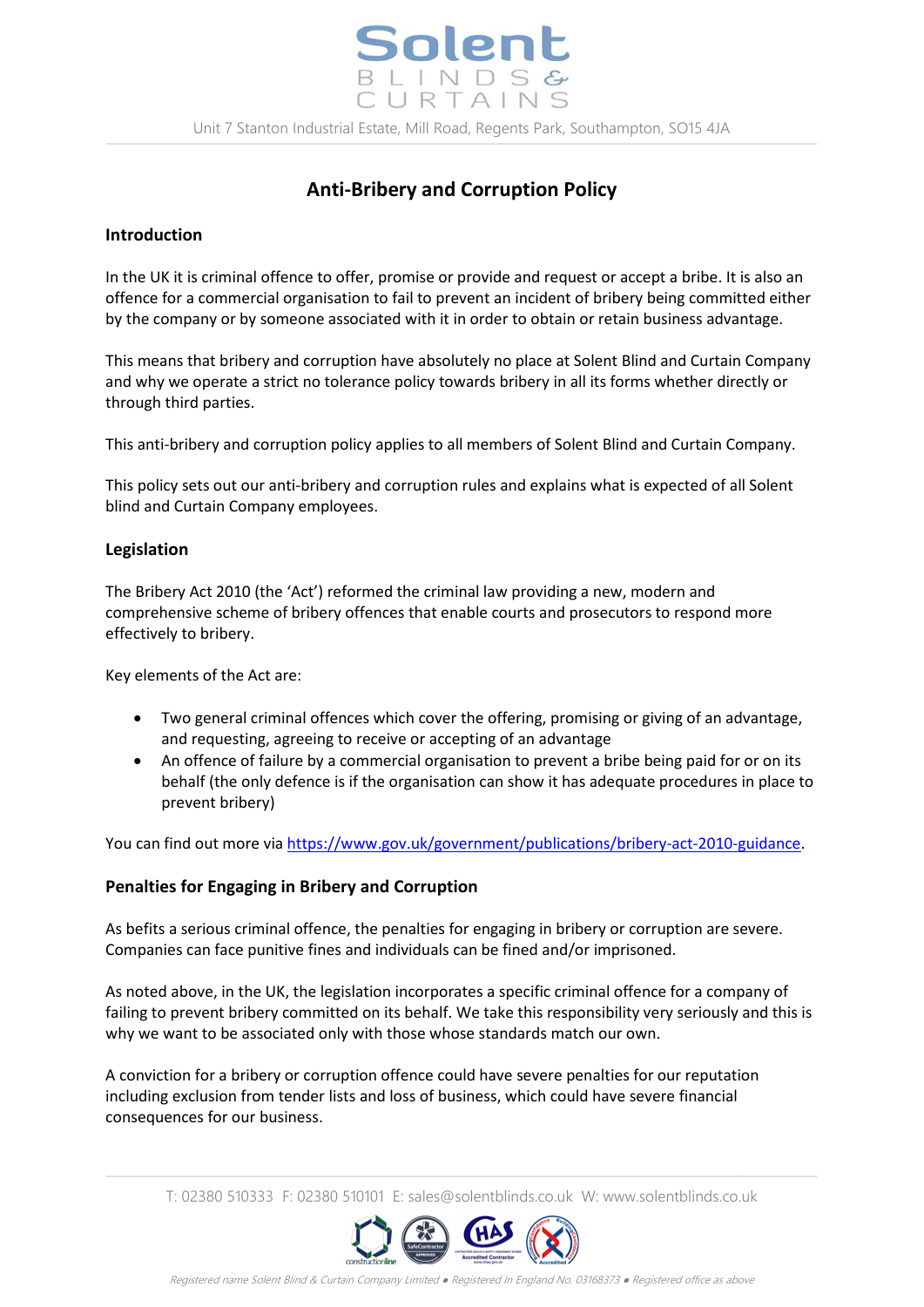

Unit 7 Stanton Industrial Estate, Mill Road, Regents Park, Southampton, SO15 4JA

# **Anti-Bribery and Corruption Policy**

# **Introduction**

In the UK it is criminal offence to offer, promise or provide and request or accept a bribe. It is also an offence for a commercial organisation to fail to prevent an incident of bribery being committed either by the company or by someone associated with it in order to obtain or retain business advantage.

This means that bribery and corruption have absolutely no place at Solent Blind and Curtain Company and why we operate a strict no tolerance policy towards bribery in all its forms whether directly or through third parties.

This anti-bribery and corruption policy applies to all members of Solent Blind and Curtain Company.

This policy sets out our anti-bribery and corruption rules and explains what is expected of all Solent blind and Curtain Company employees.

## **Legislation**

The Bribery Act 2010 (the 'Act') reformed the criminal law providing a new, modern and comprehensive scheme of bribery offences that enable courts and prosecutors to respond more effectively to bribery.

Key elements of the Act are:

- Two general criminal offences which cover the offering, promising or giving of an advantage, and requesting, agreeing to receive or accepting of an advantage
- An offence of failure by a commercial organisation to prevent a bribe being paid for or on its behalf (the only defence is if the organisation can show it has adequate procedures in place to prevent bribery)

You can find out more via [https://www.gov.uk/government/publications/bribery-act-2010-guidance.](https://www.gov.uk/government/publications/bribery-act-2010-guidance)

## **Penalties for Engaging in Bribery and Corruption**

As befits a serious criminal offence, the penalties for engaging in bribery or corruption are severe. Companies can face punitive fines and individuals can be fined and/or imprisoned.

As noted above, in the UK, the legislation incorporates a specific criminal offence for a company of failing to prevent bribery committed on its behalf. We take this responsibility very seriously and this is why we want to be associated only with those whose standards match our own.

A conviction for a bribery or corruption offence could have severe penalties for our reputation including exclusion from tender lists and loss of business, which could have severe financial consequences for our business.

T: 02380 510333 F: 02380 510101 E: sales@solentblinds.co.uk W: www.solentblinds.co.uk

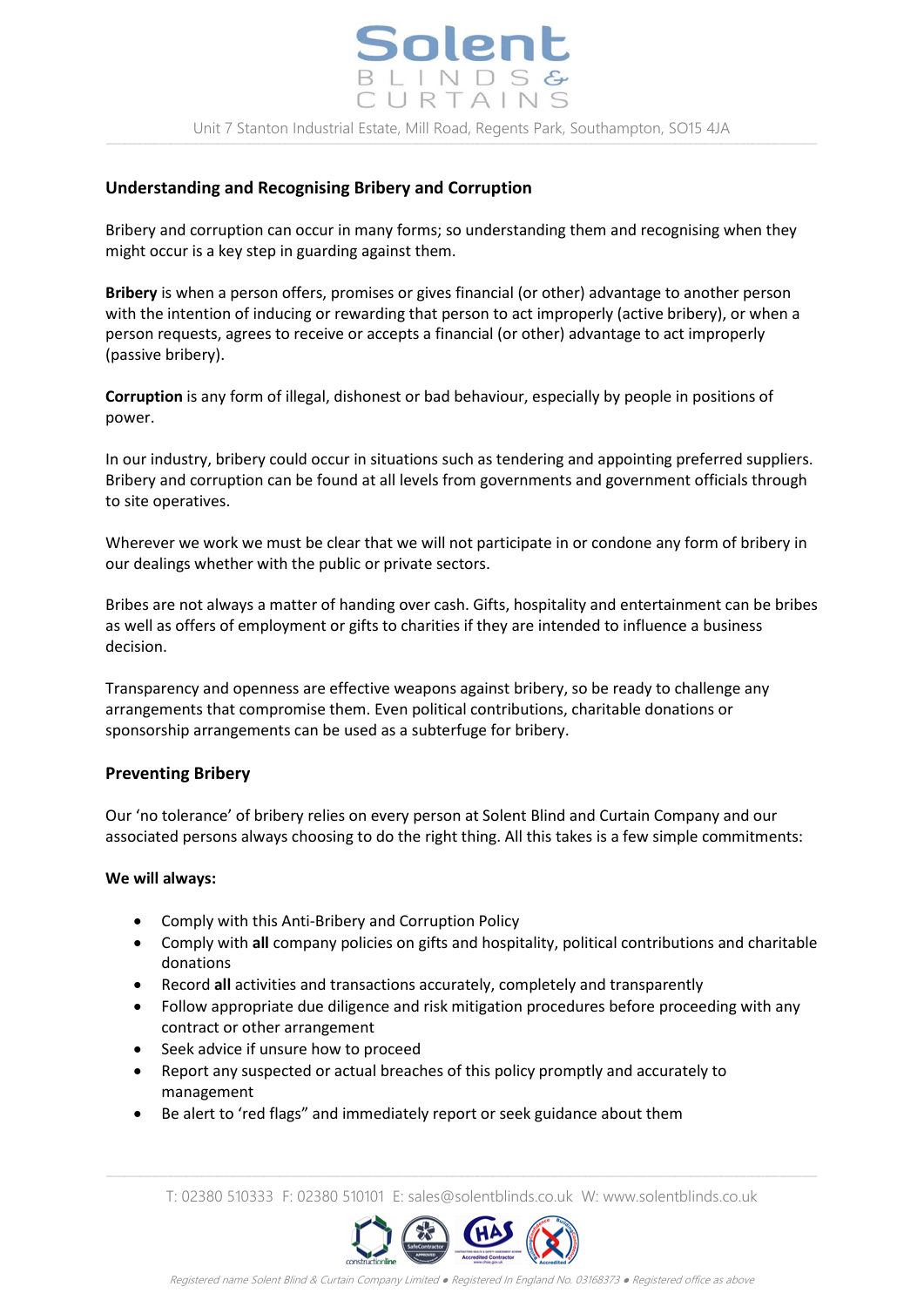# **Understanding and Recognising Bribery and Corruption**

Bribery and corruption can occur in many forms; so understanding them and recognising when they might occur is a key step in guarding against them.

**Bribery** is when a person offers, promises or gives financial (or other) advantage to another person with the intention of inducing or rewarding that person to act improperly (active bribery), or when a person requests, agrees to receive or accepts a financial (or other) advantage to act improperly (passive bribery).

**Corruption** is any form of illegal, dishonest or bad behaviour, especially by people in positions of power.

In our industry, bribery could occur in situations such as tendering and appointing preferred suppliers. Bribery and corruption can be found at all levels from governments and government officials through to site operatives.

Wherever we work we must be clear that we will not participate in or condone any form of bribery in our dealings whether with the public or private sectors.

Bribes are not always a matter of handing over cash. Gifts, hospitality and entertainment can be bribes as well as offers of employment or gifts to charities if they are intended to influence a business decision.

Transparency and openness are effective weapons against bribery, so be ready to challenge any arrangements that compromise them. Even political contributions, charitable donations or sponsorship arrangements can be used as a subterfuge for bribery.

## **Preventing Bribery**

Our 'no tolerance' of bribery relies on every person at Solent Blind and Curtain Company and our associated persons always choosing to do the right thing. All this takes is a few simple commitments:

#### **We will always:**

- Comply with this Anti-Bribery and Corruption Policy
- Comply with **all** company policies on gifts and hospitality, political contributions and charitable donations
- Record **all** activities and transactions accurately, completely and transparently
- Follow appropriate due diligence and risk mitigation procedures before proceeding with any contract or other arrangement
- Seek advice if unsure how to proceed
- Report any suspected or actual breaches of this policy promptly and accurately to management
- Be alert to 'red flags" and immediately report or seek guidance about them

T: 02380 510333 F: 02380 510101 E: sales@solentblinds.co.uk W: www.solentblinds.co.uk

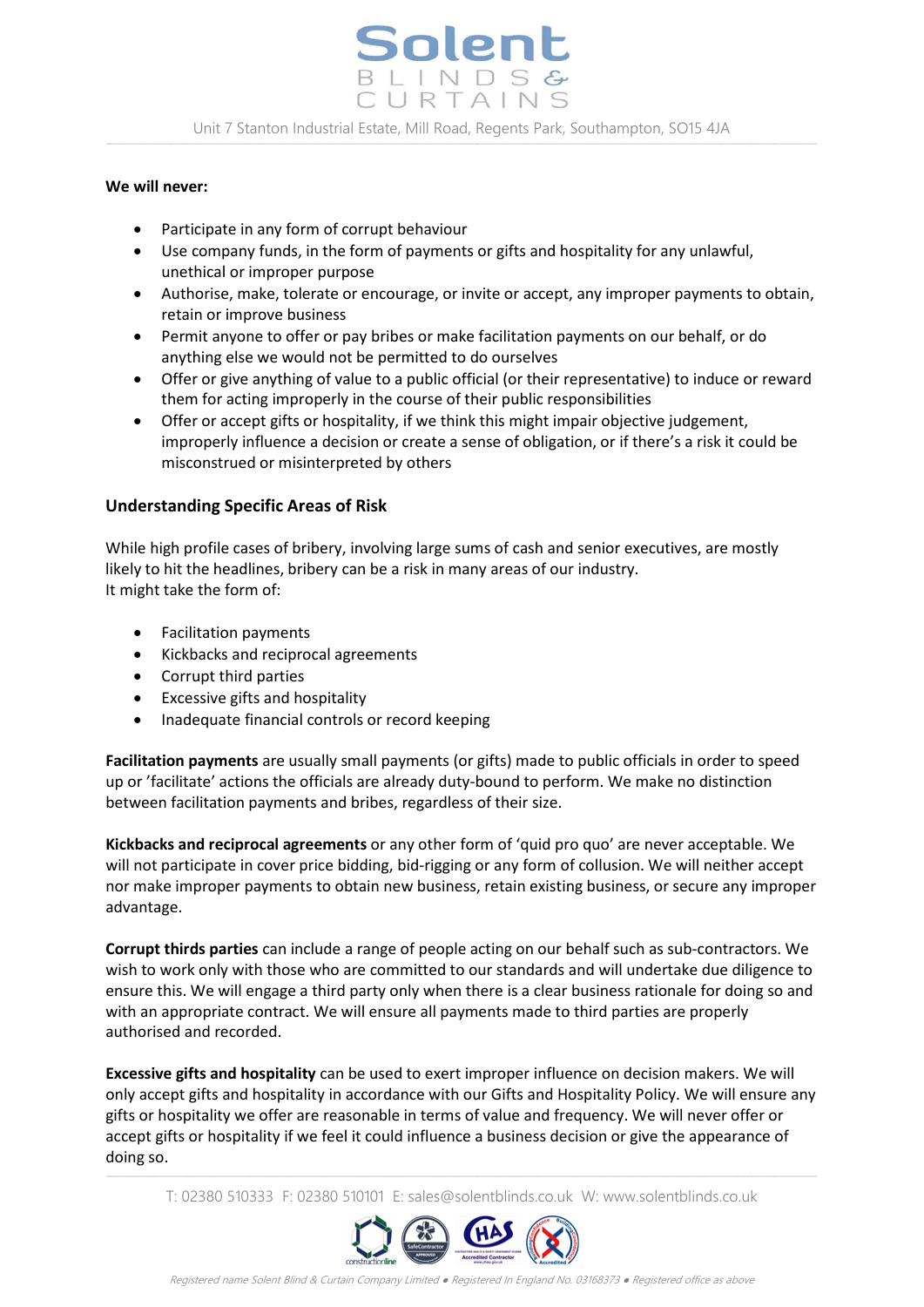

#### **We will never:**

- Participate in any form of corrupt behaviour
- Use company funds, in the form of payments or gifts and hospitality for any unlawful, unethical or improper purpose
- Authorise, make, tolerate or encourage, or invite or accept, any improper payments to obtain, retain or improve business
- Permit anyone to offer or pay bribes or make facilitation payments on our behalf, or do anything else we would not be permitted to do ourselves
- Offer or give anything of value to a public official (or their representative) to induce or reward them for acting improperly in the course of their public responsibilities
- Offer or accept gifts or hospitality, if we think this might impair objective judgement, improperly influence a decision or create a sense of obligation, or if there's a risk it could be misconstrued or misinterpreted by others

# **Understanding Specific Areas of Risk**

While high profile cases of bribery, involving large sums of cash and senior executives, are mostly likely to hit the headlines, bribery can be a risk in many areas of our industry. It might take the form of:

- Facilitation payments
- Kickbacks and reciprocal agreements
- Corrupt third parties
- Excessive gifts and hospitality
- Inadequate financial controls or record keeping

**Facilitation payments** are usually small payments (or gifts) made to public officials in order to speed up or 'facilitate' actions the officials are already duty-bound to perform. We make no distinction between facilitation payments and bribes, regardless of their size.

**Kickbacks and reciprocal agreements** or any other form of 'quid pro quo' are never acceptable. We will not participate in cover price bidding, bid-rigging or any form of collusion. We will neither accept nor make improper payments to obtain new business, retain existing business, or secure any improper advantage.

**Corrupt thirds parties** can include a range of people acting on our behalf such as sub-contractors. We wish to work only with those who are committed to our standards and will undertake due diligence to ensure this. We will engage a third party only when there is a clear business rationale for doing so and with an appropriate contract. We will ensure all payments made to third parties are properly authorised and recorded.

**Excessive gifts and hospitality** can be used to exert improper influence on decision makers. We will only accept gifts and hospitality in accordance with our Gifts and Hospitality Policy. We will ensure any gifts or hospitality we offer are reasonable in terms of value and frequency. We will never offer or accept gifts or hospitality if we feel it could influence a business decision or give the appearance of doing so.

T: 02380 510333 F: 02380 510101 E: sales@solentblinds.co.uk W: www.solentblinds.co.uk



Registered name Solent Blind & Curtain Company Limited ● Registered In England No. 03168373 ● Registered office as above